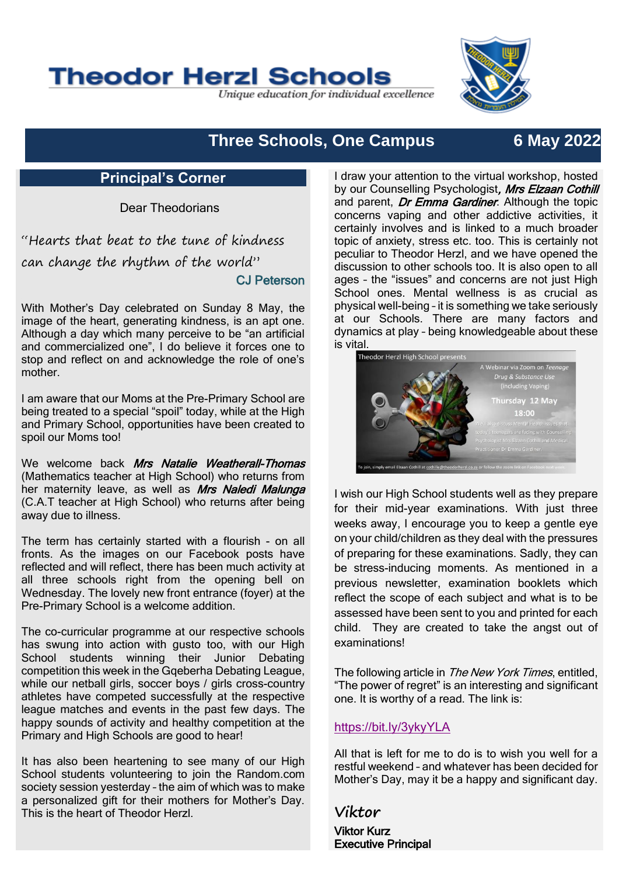# **Theodor Herzl Schools**

Unique education for individual excellence



# **Three Schools, One Campus 6 May 2022**

#### **Principal's Corner**

Dear Theodorians

"Hearts that beat to the tune of kindness can change the rhythm of the world" CJ Peterson

With Mother's Day celebrated on Sunday 8 May, the image of the heart, generating kindness, is an apt one. Although a day which many perceive to be "an artificial and commercialized one", I do believe it forces one to stop and reflect on and acknowledge the role of one's mother.

I am aware that our Moms at the Pre-Primary School are being treated to a special "spoil" today, while at the High and Primary School, opportunities have been created to spoil our Moms too!

We welcome back Mrs Natalie Weatherall-Thomas (Mathematics teacher at High School) who returns from her maternity leave, as well as Mrs Naledi Malunga (C.A.T teacher at High School) who returns after being away due to illness.

The term has certainly started with a flourish - on all fronts. As the images on our Facebook posts have reflected and will reflect, there has been much activity at all three schools right from the opening bell on Wednesday. The lovely new front entrance (foyer) at the Pre-Primary School is a welcome addition.

The co-curricular programme at our respective schools has swung into action with gusto too, with our High School students winning their Junior Debating competition this week in the Gqeberha Debating League, while our netball girls, soccer boys / girls cross-country athletes have competed successfully at the respective league matches and events in the past few days. The happy sounds of activity and healthy competition at the Primary and High Schools are good to hear!

It has also been heartening to see many of our High School students volunteering to join the Random.com society session yesterday – the aim of which was to make a personalized gift for their mothers for Mother's Day. This is the heart of Theodor Herzl.

I draw your attention to the virtual workshop, hosted by our Counselling Psychologist, Mrs Elzaan Cothill and parent, *Dr Emma Gardiner*. Although the topic concerns vaping and other addictive activities, it certainly involves and is linked to a much broader topic of anxiety, stress etc. too. This is certainly not peculiar to Theodor Herzl, and we have opened the discussion to other schools too. It is also open to all ages – the "issues" and concerns are not just High School ones. Mental wellness is as crucial as physical well-being – it is something we take seriously at our Schools. There are many factors and dynamics at play – being knowledgeable about these is vital.



I wish our High School students well as they prepare for their mid-year examinations. With just three weeks away, I encourage you to keep a gentle eye on your child/children as they deal with the pressures of preparing for these examinations. Sadly, they can be stress-inducing moments. As mentioned in a previous newsletter, examination booklets which reflect the scope of each subject and what is to be assessed have been sent to you and printed for each child. They are created to take the angst out of examinations!

The following article in *The New York Times*, entitled, "The power of regret" is an interesting and significant one. It is worthy of a read. The link is:

#### <https://bit.ly/3ykyYLA>

All that is left for me to do is to wish you well for a restful weekend – and whatever has been decided for Mother's Day, may it be a happy and significant day.

**Viktor** Viktor Kurz Executive Principal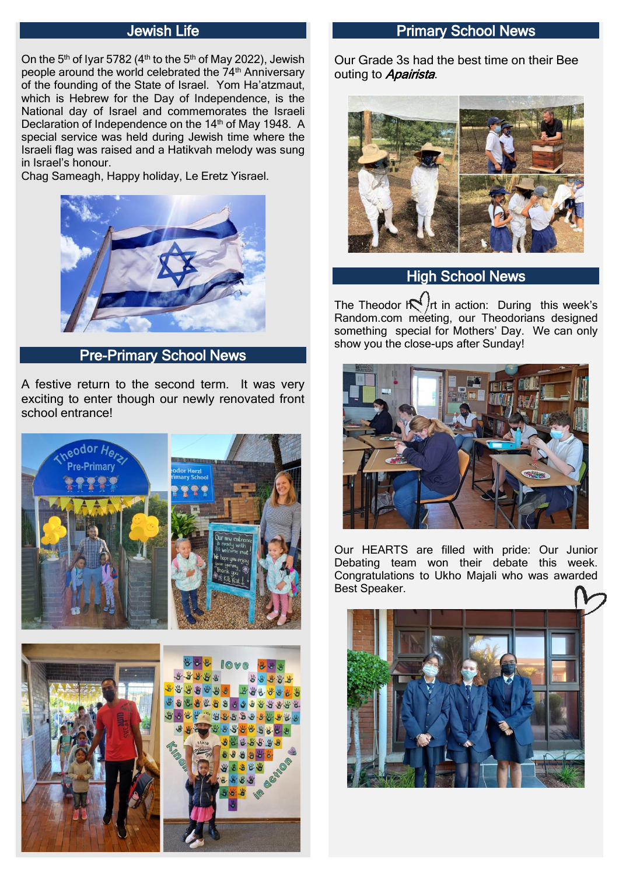### Jewish Life

On the 5<sup>th</sup> of Iyar 5782 (4<sup>th</sup> to the 5<sup>th</sup> of May 2022), Jewish people around the world celebrated the 74<sup>th</sup> Anniversary of the founding of the State of Israel. Yom Ha'atzmaut, which is Hebrew for the Day of Independence, is the National day of Israel and commemorates the Israeli Declaration of Independence on the 14<sup>th</sup> of May 1948. A special service was held during Jewish time where the Israeli flag was raised and a Hatikvah melody was sung in Israel's honour.

Chag Sameagh, Happy holiday, Le Eretz Yisrael.



Pre-Primary School News

A festive return to the second term. It was very exciting to enter though our newly renovated front school entrance!





#### Primary School News

Our Grade 3s had the best time on their Bee outing to Apairista.



# **High School News**

The Theodor  $\mathbb{R}^{\binom{r}{r}}$  in action: During this week's Random.com meeting, our Theodorians designed something special for Mothers' Day. We can only show you the close-ups after Sunday!



Our HEARTS are filled with pride: Our Junior Debating team won their debate this week. Congratulations to Ukho Majali who was awarded Best Speaker.